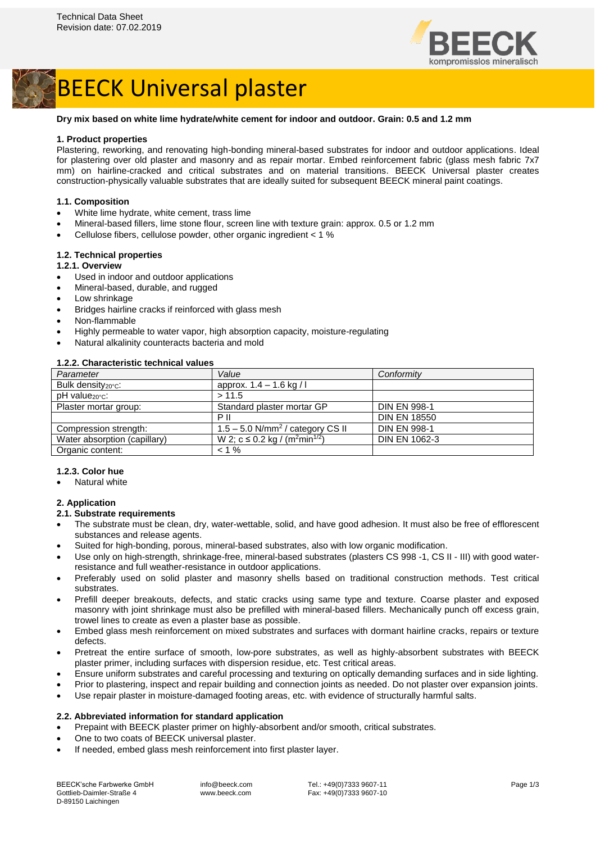



#### **Dry mix based on white lime hydrate/white cement for indoor and outdoor. Grain: 0.5 and 1.2 mm**

#### **1. Product properties**

Plastering, reworking, and renovating high-bonding mineral-based substrates for indoor and outdoor applications. Ideal for plastering over old plaster and masonry and as repair mortar. Embed reinforcement fabric (glass mesh fabric 7x7 mm) on hairline-cracked and critical substrates and on material transitions. BEECK Universal plaster creates construction-physically valuable substrates that are ideally suited for subsequent BEECK mineral paint coatings.

#### **1.1. Composition**

- White lime hydrate, white cement, trass lime
- Mineral-based fillers, lime stone flour, screen line with texture grain: approx. 0.5 or 1.2 mm
- Cellulose fibers, cellulose powder, other organic ingredient < 1 %

#### **1.2. Technical properties**

#### **1.2.1. Overview**

- Used in indoor and outdoor applications
- Mineral-based, durable, and rugged
- Low shrinkage
- Bridges hairline cracks if reinforced with glass mesh
- Non-flammable
- Highly permeable to water vapor, high absorption capacity, moisture-regulating
- Natural alkalinity counteracts bacteria and mold

#### **1.2.2. Characteristic technical values**

| Parameter                    | Value                                                  | Conformity           |
|------------------------------|--------------------------------------------------------|----------------------|
| Bulk density $20^{\circ}$ c: | approx. $1.4 - 1.6$ kg / l                             |                      |
| pH value <sub>20°</sub> c:   | > 11.5                                                 |                      |
| Plaster mortar group:        | Standard plaster mortar GP                             | <b>DIN EN 998-1</b>  |
|                              | P II                                                   | <b>DIN EN 18550</b>  |
| Compression strength:        | $1.5 - 5.0$ N/mm <sup>2</sup> / category CS II         | <b>DIN EN 998-1</b>  |
| Water absorption (capillary) | W 2; c ≤ 0.2 kg / (m <sup>2</sup> min <sup>1/2</sup> ) | <b>DIN EN 1062-3</b> |
| Organic content:             | $< 1 \%$                                               |                      |

#### **1.2.3. Color hue**

• Natural white

#### **2. Application**

#### **2.1. Substrate requirements**

- The substrate must be clean, dry, water-wettable, solid, and have good adhesion. It must also be free of efflorescent substances and release agents.
- Suited for high-bonding, porous, mineral-based substrates, also with low organic modification.
- Use only on high-strength, shrinkage-free, mineral-based substrates (plasters CS 998 -1, CS II III) with good waterresistance and full weather-resistance in outdoor applications.
- Preferably used on solid plaster and masonry shells based on traditional construction methods. Test critical substrates.
- Prefill deeper breakouts, defects, and static cracks using same type and texture. Coarse plaster and exposed masonry with joint shrinkage must also be prefilled with mineral-based fillers. Mechanically punch off excess grain, trowel lines to create as even a plaster base as possible.
- Embed glass mesh reinforcement on mixed substrates and surfaces with dormant hairline cracks, repairs or texture defects.
- Pretreat the entire surface of smooth, low-pore substrates, as well as highly-absorbent substrates with BEECK plaster primer, including surfaces with dispersion residue, etc. Test critical areas.
- Ensure uniform substrates and careful processing and texturing on optically demanding surfaces and in side lighting.
- Prior to plastering, inspect and repair building and connection joints as needed. Do not plaster over expansion joints.
- Use repair plaster in moisture-damaged footing areas, etc. with evidence of structurally harmful salts.

#### **2.2. Abbreviated information for standard application**

- Prepaint with BEECK plaster primer on highly-absorbent and/or smooth, critical substrates.
- One to two coats of BEECK universal plaster.
- If needed, embed glass mesh reinforcement into first plaster layer.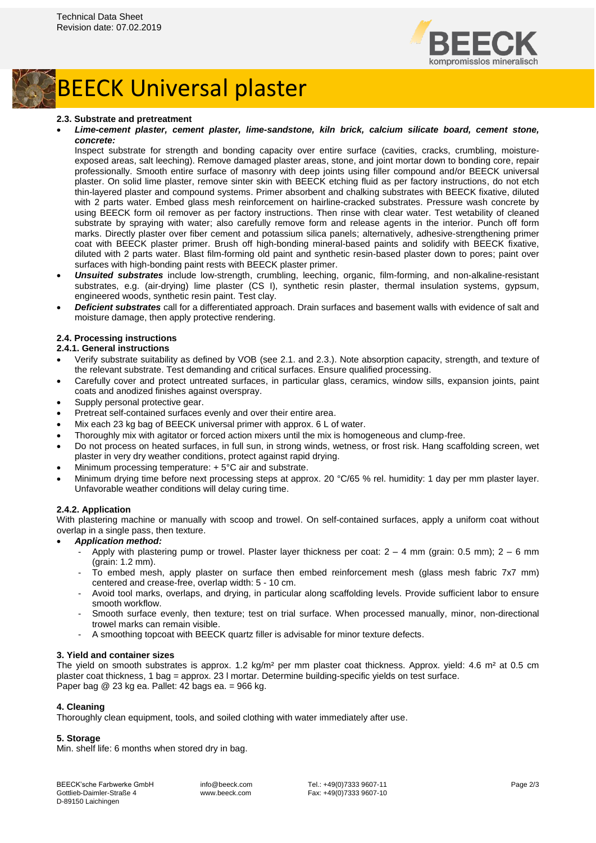

# BEECK Universal plaster

#### **2.3. Substrate and pretreatment**

#### • *Lime-cement plaster, cement plaster, lime-sandstone, kiln brick, calcium silicate board, cement stone, concrete:*

Inspect substrate for strength and bonding capacity over entire surface (cavities, cracks, crumbling, moistureexposed areas, salt leeching). Remove damaged plaster areas, stone, and joint mortar down to bonding core, repair professionally. Smooth entire surface of masonry with deep joints using filler compound and/or BEECK universal plaster. On solid lime plaster, remove sinter skin with BEECK etching fluid as per factory instructions, do not etch thin-layered plaster and compound systems. Primer absorbent and chalking substrates with BEECK fixative, diluted with 2 parts water. Embed glass mesh reinforcement on hairline-cracked substrates. Pressure wash concrete by using BEECK form oil remover as per factory instructions. Then rinse with clear water. Test wetability of cleaned substrate by spraying with water; also carefully remove form and release agents in the interior. Punch off form marks. Directly plaster over fiber cement and potassium silica panels; alternatively, adhesive-strengthening primer coat with BEECK plaster primer. Brush off high-bonding mineral-based paints and solidify with BEECK fixative, diluted with 2 parts water. Blast film-forming old paint and synthetic resin-based plaster down to pores; paint over surfaces with high-bonding paint rests with BEECK plaster primer.

- *Unsuited substrates* include low-strength, crumbling, leeching, organic, film-forming, and non-alkaline-resistant substrates, e.g. (air-drying) lime plaster (CS I), synthetic resin plaster, thermal insulation systems, gypsum, engineered woods, synthetic resin paint. Test clay.
- *Deficient substrates* call for a differentiated approach. Drain surfaces and basement walls with evidence of salt and moisture damage, then apply protective rendering.

#### **2.4. Processing instructions**

### **2.4.1. General instructions**

- Verify substrate suitability as defined by VOB (see 2.1. and 2.3.). Note absorption capacity, strength, and texture of the relevant substrate. Test demanding and critical surfaces. Ensure qualified processing.
- Carefully cover and protect untreated surfaces, in particular glass, ceramics, window sills, expansion joints, paint coats and anodized finishes against overspray.
- Supply personal protective gear.
- Pretreat self-contained surfaces evenly and over their entire area.
- Mix each 23 kg bag of BEECK universal primer with approx. 6 L of water.
- Thoroughly mix with agitator or forced action mixers until the mix is homogeneous and clump-free.
- Do not process on heated surfaces, in full sun, in strong winds, wetness, or frost risk. Hang scaffolding screen, wet plaster in very dry weather conditions, protect against rapid drying.
- Minimum processing temperature: + 5°C air and substrate.
- Minimum drying time before next processing steps at approx. 20 °C/65 % rel. humidity: 1 day per mm plaster layer. Unfavorable weather conditions will delay curing time.

#### **2.4.2. Application**

With plastering machine or manually with scoop and trowel. On self-contained surfaces, apply a uniform coat without overlap in a single pass, then texture.

# • *Application method:*

- Apply with plastering pump or trowel. Plaster layer thickness per coat:  $2 4$  mm (grain: 0.5 mm);  $2 6$  mm (grain: 1.2 mm).
- To embed mesh, apply plaster on surface then embed reinforcement mesh (glass mesh fabric 7x7 mm) centered and crease-free, overlap width: 5 - 10 cm.
- Avoid tool marks, overlaps, and drying, in particular along scaffolding levels. Provide sufficient labor to ensure smooth workflow.
- Smooth surface evenly, then texture; test on trial surface. When processed manually, minor, non-directional trowel marks can remain visible.
- A smoothing topcoat with BEECK quartz filler is advisable for minor texture defects.

#### **3. Yield and container sizes**

The yield on smooth substrates is approx. 1.2 kg/m<sup>2</sup> per mm plaster coat thickness. Approx. yield: 4.6 m<sup>2</sup> at 0.5 cm plaster coat thickness, 1 bag = approx. 23 l mortar. Determine building-specific yields on test surface. Paper bag @ 23 kg ea. Pallet: 42 bags ea. = 966 kg.

## **4. Cleaning**

Thoroughly clean equipment, tools, and soiled clothing with water immediately after use.

#### **5. Storage**

Min. shelf life: 6 months when stored dry in bag.

BEECK'sche Farbwerke GmbH Gottlieb-Daimler-Straße 4 D-89150 Laichingen

info@beeck.com www.beeck.com